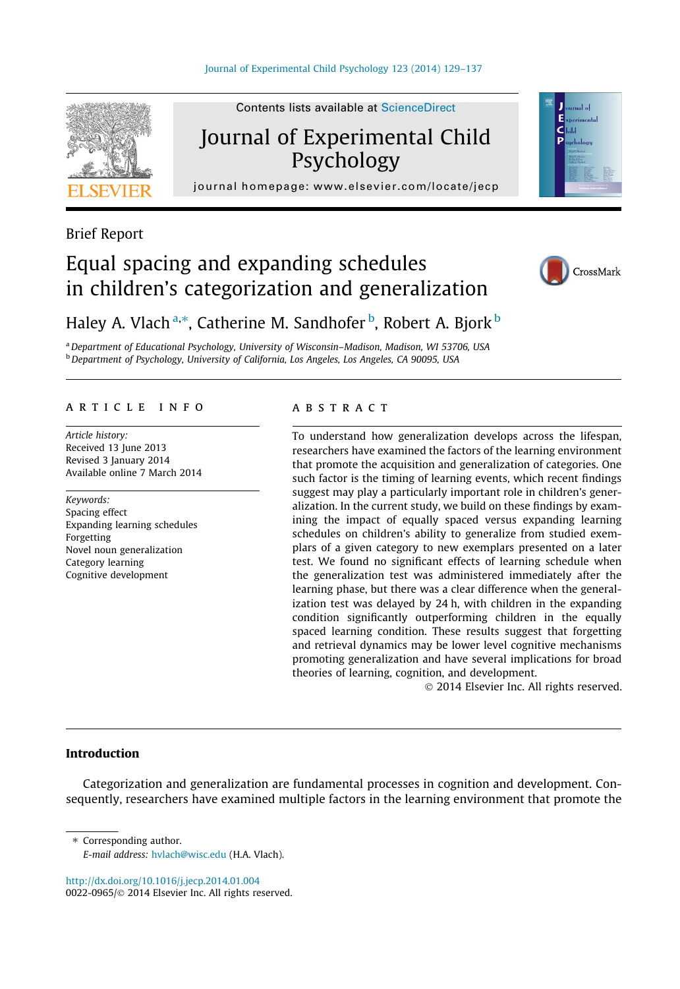

Contents lists available at [ScienceDirect](http://www.sciencedirect.com/science/journal/00220965)

## Journal of Experimental Child Psychology

journal homepage: [www.elsevier.com/locate/jecp](http://www.elsevier.com/locate/jecp)

## Brief Report

# Equal spacing and expanding schedules in children's categorization and generalization



аú

## Haley A. Vlach <sup>a,</sup>\*, Catherine M. Sandhofer <sup>b</sup>, Robert A. Bjork <sup>b</sup>

a Department of Educational Psychology, University of Wisconsin-Madison, Madison, WI 53706, USA <sup>b</sup> Department of Psychology, University of California, Los Angeles, Los Angeles, CA 90095, USA

## article info

Article history: Received 13 June 2013 Revised 3 January 2014 Available online 7 March 2014

Keywords: Spacing effect Expanding learning schedules Forgetting Novel noun generalization Category learning Cognitive development

### **ABSTRACT**

To understand how generalization develops across the lifespan, researchers have examined the factors of the learning environment that promote the acquisition and generalization of categories. One such factor is the timing of learning events, which recent findings suggest may play a particularly important role in children's generalization. In the current study, we build on these findings by examining the impact of equally spaced versus expanding learning schedules on children's ability to generalize from studied exemplars of a given category to new exemplars presented on a later test. We found no significant effects of learning schedule when the generalization test was administered immediately after the learning phase, but there was a clear difference when the generalization test was delayed by 24 h, with children in the expanding condition significantly outperforming children in the equally spaced learning condition. These results suggest that forgetting and retrieval dynamics may be lower level cognitive mechanisms promoting generalization and have several implications for broad theories of learning, cognition, and development.

- 2014 Elsevier Inc. All rights reserved.

#### Introduction

Categorization and generalization are fundamental processes in cognition and development. Consequently, researchers have examined multiple factors in the learning environment that promote the

⇑ Corresponding author.

<http://dx.doi.org/10.1016/j.jecp.2014.01.004> 0022-0965/© 2014 Elsevier Inc. All rights reserved.

E-mail address: [hvlach@wisc.edu](mailto:hvlach@wisc.edu) (H.A. Vlach).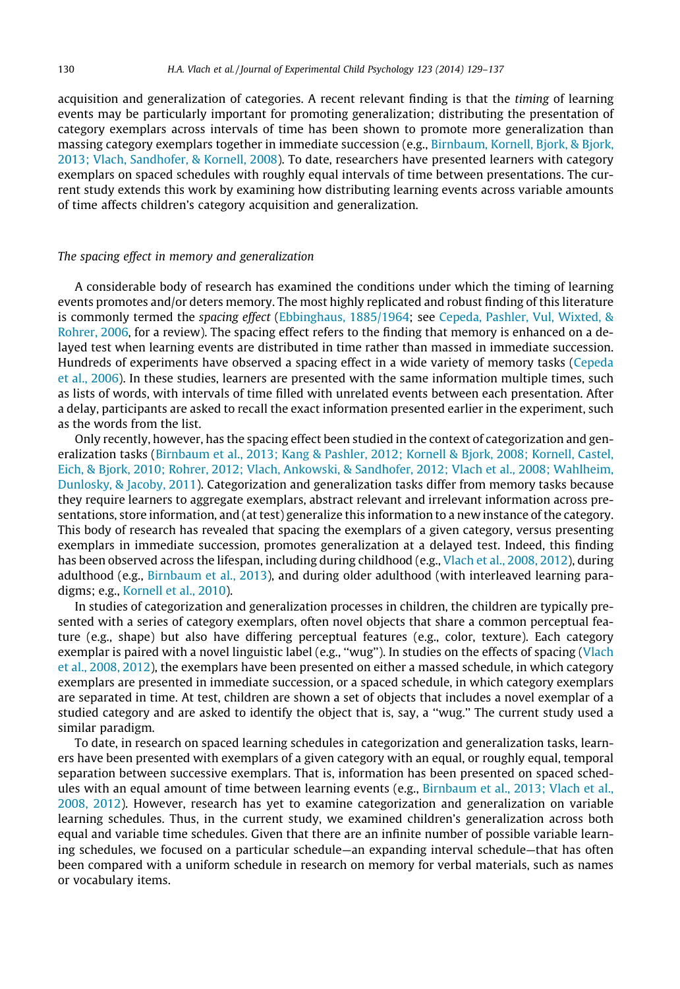acquisition and generalization of categories. A recent relevant finding is that the timing of learning events may be particularly important for promoting generalization; distributing the presentation of category exemplars across intervals of time has been shown to promote more generalization than massing category exemplars together in immediate succession (e.g., [Birnbaum, Kornell, Bjork, & Bjork,](#page-7-0) [2013; Vlach, Sandhofer, & Kornell, 2008\)](#page-7-0). To date, researchers have presented learners with category exemplars on spaced schedules with roughly equal intervals of time between presentations. The current study extends this work by examining how distributing learning events across variable amounts of time affects children's category acquisition and generalization.

#### The spacing effect in memory and generalization

A considerable body of research has examined the conditions under which the timing of learning events promotes and/or deters memory. The most highly replicated and robust finding of this literature is commonly termed the *spacing effect* [\(Ebbinghaus, 1885/1964;](#page-7-0) see [Cepeda, Pashler, Vul, Wixted, &](#page-7-0) [Rohrer, 2006](#page-7-0), for a review). The spacing effect refers to the finding that memory is enhanced on a delayed test when learning events are distributed in time rather than massed in immediate succession. Hundreds of experiments have observed a spacing effect in a wide variety of memory tasks ([Cepeda](#page-7-0) [et al., 2006\)](#page-7-0). In these studies, learners are presented with the same information multiple times, such as lists of words, with intervals of time filled with unrelated events between each presentation. After a delay, participants are asked to recall the exact information presented earlier in the experiment, such as the words from the list.

Only recently, however, has the spacing effect been studied in the context of categorization and generalization tasks [\(Birnbaum et al., 2013; Kang & Pashler, 2012; Kornell & Bjork, 2008; Kornell, Castel,](#page-7-0) [Eich, & Bjork, 2010; Rohrer, 2012; Vlach, Ankowski, & Sandhofer, 2012; Vlach et al., 2008; Wahlheim,](#page-7-0) [Dunlosky, & Jacoby, 2011](#page-7-0)). Categorization and generalization tasks differ from memory tasks because they require learners to aggregate exemplars, abstract relevant and irrelevant information across presentations, store information, and (at test) generalize this information to a new instance of the category. This body of research has revealed that spacing the exemplars of a given category, versus presenting exemplars in immediate succession, promotes generalization at a delayed test. Indeed, this finding has been observed across the lifespan, including during childhood (e.g., [Vlach et al., 2008, 2012\)](#page-8-0), during adulthood (e.g., [Birnbaum et al., 2013\)](#page-7-0), and during older adulthood (with interleaved learning para-digms; e.g., [Kornell et al., 2010](#page-7-0)).

In studies of categorization and generalization processes in children, the children are typically presented with a series of category exemplars, often novel objects that share a common perceptual feature (e.g., shape) but also have differing perceptual features (e.g., color, texture). Each category exemplar is paired with a novel linguistic label (e.g., ''wug''). In studies on the effects of spacing [\(Vlach](#page-8-0) [et al., 2008, 2012\)](#page-8-0), the exemplars have been presented on either a massed schedule, in which category exemplars are presented in immediate succession, or a spaced schedule, in which category exemplars are separated in time. At test, children are shown a set of objects that includes a novel exemplar of a studied category and are asked to identify the object that is, say, a ''wug.'' The current study used a similar paradigm.

To date, in research on spaced learning schedules in categorization and generalization tasks, learners have been presented with exemplars of a given category with an equal, or roughly equal, temporal separation between successive exemplars. That is, information has been presented on spaced sched-ules with an equal amount of time between learning events (e.g., [Birnbaum et al., 2013; Vlach et al.,](#page-7-0) [2008, 2012](#page-7-0)). However, research has yet to examine categorization and generalization on variable learning schedules. Thus, in the current study, we examined children's generalization across both equal and variable time schedules. Given that there are an infinite number of possible variable learning schedules, we focused on a particular schedule—an expanding interval schedule—that has often been compared with a uniform schedule in research on memory for verbal materials, such as names or vocabulary items.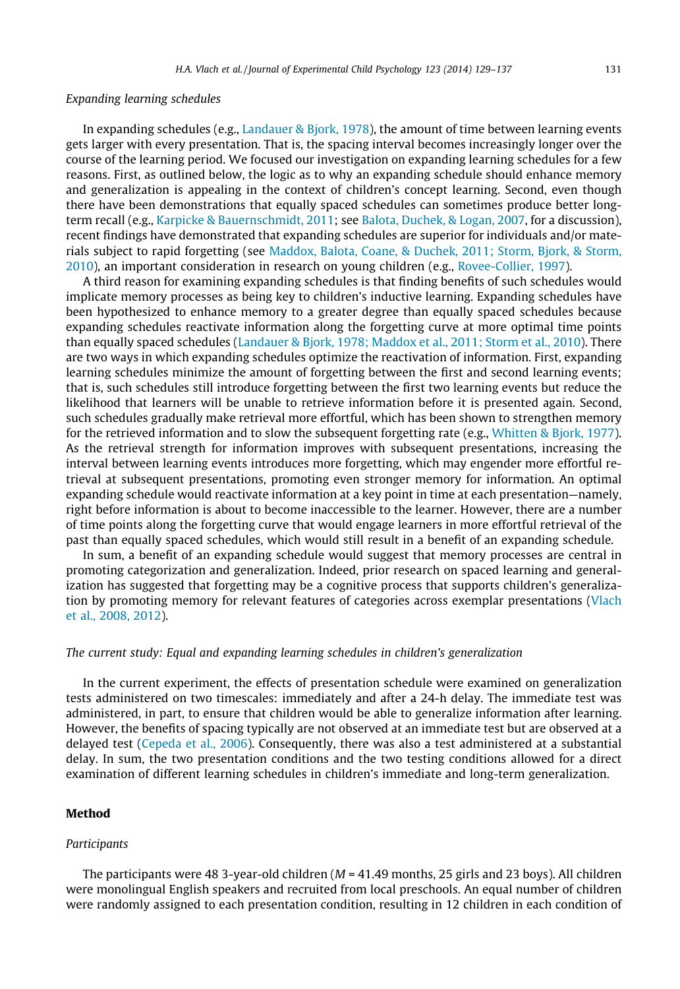#### Expanding learning schedules

In expanding schedules (e.g., [Landauer & Bjork, 1978](#page-7-0)), the amount of time between learning events gets larger with every presentation. That is, the spacing interval becomes increasingly longer over the course of the learning period. We focused our investigation on expanding learning schedules for a few reasons. First, as outlined below, the logic as to why an expanding schedule should enhance memory and generalization is appealing in the context of children's concept learning. Second, even though there have been demonstrations that equally spaced schedules can sometimes produce better longterm recall (e.g., [Karpicke & Bauernschmidt, 2011](#page-7-0); see [Balota, Duchek, & Logan, 2007](#page-7-0), for a discussion), recent findings have demonstrated that expanding schedules are superior for individuals and/or materials subject to rapid forgetting (see [Maddox, Balota, Coane, & Duchek, 2011; Storm, Bjork, & Storm,](#page-8-0) [2010](#page-8-0)), an important consideration in research on young children (e.g., [Rovee-Collier, 1997](#page-8-0)).

A third reason for examining expanding schedules is that finding benefits of such schedules would implicate memory processes as being key to children's inductive learning. Expanding schedules have been hypothesized to enhance memory to a greater degree than equally spaced schedules because expanding schedules reactivate information along the forgetting curve at more optimal time points than equally spaced schedules ([Landauer & Bjork, 1978; Maddox et al., 2011; Storm et al., 2010\)](#page-7-0). There are two ways in which expanding schedules optimize the reactivation of information. First, expanding learning schedules minimize the amount of forgetting between the first and second learning events; that is, such schedules still introduce forgetting between the first two learning events but reduce the likelihood that learners will be unable to retrieve information before it is presented again. Second, such schedules gradually make retrieval more effortful, which has been shown to strengthen memory for the retrieved information and to slow the subsequent forgetting rate (e.g., [Whitten & Bjork, 1977\)](#page-8-0). As the retrieval strength for information improves with subsequent presentations, increasing the interval between learning events introduces more forgetting, which may engender more effortful retrieval at subsequent presentations, promoting even stronger memory for information. An optimal expanding schedule would reactivate information at a key point in time at each presentation—namely, right before information is about to become inaccessible to the learner. However, there are a number of time points along the forgetting curve that would engage learners in more effortful retrieval of the past than equally spaced schedules, which would still result in a benefit of an expanding schedule.

In sum, a benefit of an expanding schedule would suggest that memory processes are central in promoting categorization and generalization. Indeed, prior research on spaced learning and generalization has suggested that forgetting may be a cognitive process that supports children's generalization by promoting memory for relevant features of categories across exemplar presentations ([Vlach](#page-8-0) [et al., 2008, 2012\)](#page-8-0).

#### The current study: Equal and expanding learning schedules in children's generalization

In the current experiment, the effects of presentation schedule were examined on generalization tests administered on two timescales: immediately and after a 24-h delay. The immediate test was administered, in part, to ensure that children would be able to generalize information after learning. However, the benefits of spacing typically are not observed at an immediate test but are observed at a delayed test ([Cepeda et al., 2006](#page-7-0)). Consequently, there was also a test administered at a substantial delay. In sum, the two presentation conditions and the two testing conditions allowed for a direct examination of different learning schedules in children's immediate and long-term generalization.

#### Method

#### Participants

The participants were 48 3-year-old children  $(M = 41.49$  months, 25 girls and 23 boys). All children were monolingual English speakers and recruited from local preschools. An equal number of children were randomly assigned to each presentation condition, resulting in 12 children in each condition of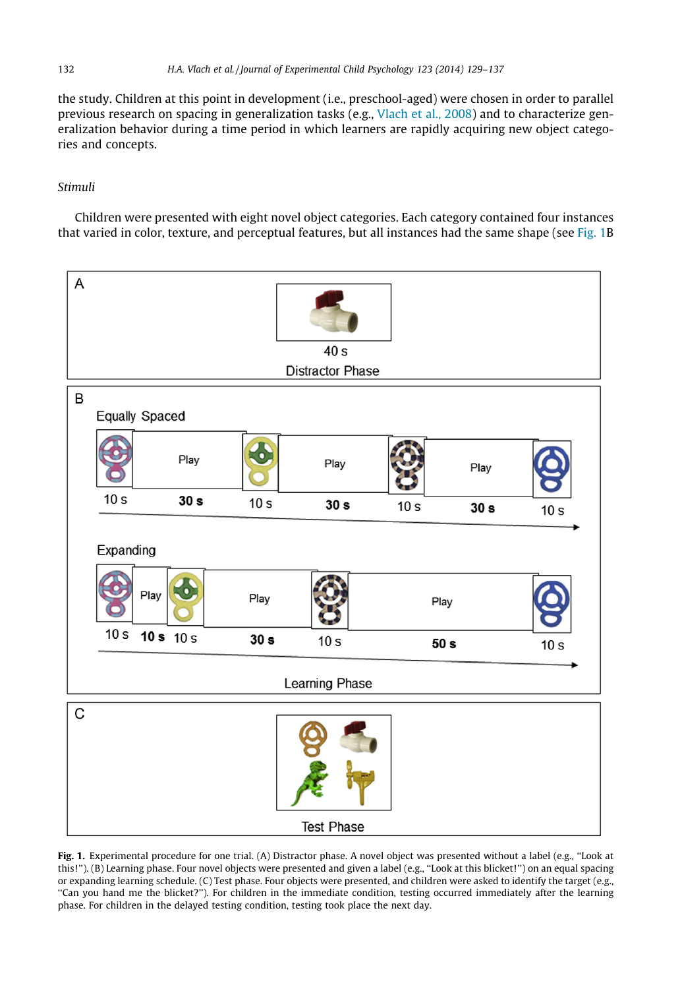<span id="page-3-0"></span>the study. Children at this point in development (i.e., preschool-aged) were chosen in order to parallel previous research on spacing in generalization tasks (e.g., [Vlach et al., 2008\)](#page-8-0) and to characterize generalization behavior during a time period in which learners are rapidly acquiring new object categories and concepts.

## Stimuli

Children were presented with eight novel object categories. Each category contained four instances that varied in color, texture, and perceptual features, but all instances had the same shape (see Fig. 1B)



Fig. 1. Experimental procedure for one trial. (A) Distractor phase. A novel object was presented without a label (e.g., "Look at this!''). (B) Learning phase. Four novel objects were presented and given a label (e.g., ''Look at this blicket!'') on an equal spacing or expanding learning schedule. (C) Test phase. Four objects were presented, and children were asked to identify the target (e.g., ''Can you hand me the blicket?''). For children in the immediate condition, testing occurred immediately after the learning phase. For children in the delayed testing condition, testing took place the next day.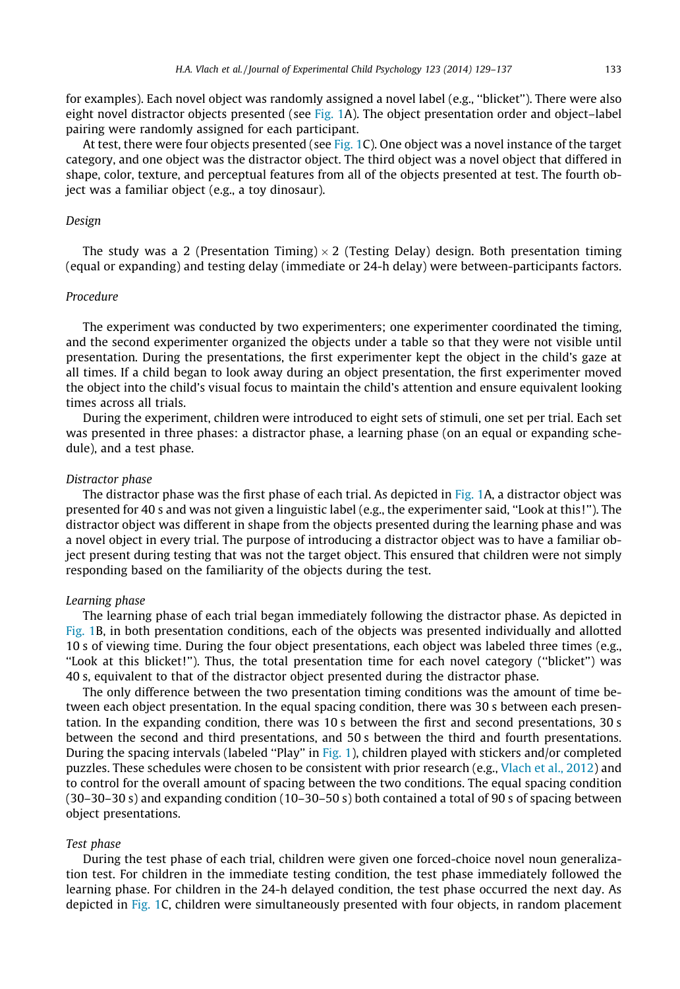At test, there were four objects presented (see [Fig. 1C](#page-3-0)). One object was a novel instance of the target category, and one object was the distractor object. The third object was a novel object that differed in shape, color, texture, and perceptual features from all of the objects presented at test. The fourth object was a familiar object (e.g., a toy dinosaur).

#### Design

The study was a 2 (Presentation Timing) $\times$  2 (Testing Delay) design. Both presentation timing (equal or expanding) and testing delay (immediate or 24-h delay) were between-participants factors.

#### Procedure

The experiment was conducted by two experimenters; one experimenter coordinated the timing, and the second experimenter organized the objects under a table so that they were not visible until presentation. During the presentations, the first experimenter kept the object in the child's gaze at all times. If a child began to look away during an object presentation, the first experimenter moved the object into the child's visual focus to maintain the child's attention and ensure equivalent looking times across all trials.

During the experiment, children were introduced to eight sets of stimuli, one set per trial. Each set was presented in three phases: a distractor phase, a learning phase (on an equal or expanding schedule), and a test phase.

#### Distractor phase

The distractor phase was the first phase of each trial. As depicted in [Fig. 1](#page-3-0)A, a distractor object was presented for 40 s and was not given a linguistic label (e.g., the experimenter said, ''Look at this!''). The distractor object was different in shape from the objects presented during the learning phase and was a novel object in every trial. The purpose of introducing a distractor object was to have a familiar object present during testing that was not the target object. This ensured that children were not simply responding based on the familiarity of the objects during the test.

#### Learning phase

The learning phase of each trial began immediately following the distractor phase. As depicted in [Fig. 1B](#page-3-0), in both presentation conditions, each of the objects was presented individually and allotted 10 s of viewing time. During the four object presentations, each object was labeled three times (e.g., ''Look at this blicket!''). Thus, the total presentation time for each novel category (''blicket'') was 40 s, equivalent to that of the distractor object presented during the distractor phase.

The only difference between the two presentation timing conditions was the amount of time between each object presentation. In the equal spacing condition, there was 30 s between each presentation. In the expanding condition, there was 10 s between the first and second presentations, 30 s between the second and third presentations, and 50 s between the third and fourth presentations. During the spacing intervals (labeled ''Play'' in [Fig. 1](#page-3-0)), children played with stickers and/or completed puzzles. These schedules were chosen to be consistent with prior research (e.g., [Vlach et al., 2012\)](#page-8-0) and to control for the overall amount of spacing between the two conditions. The equal spacing condition (30–30–30 s) and expanding condition (10–30–50 s) both contained a total of 90 s of spacing between object presentations.

### Test phase

During the test phase of each trial, children were given one forced-choice novel noun generalization test. For children in the immediate testing condition, the test phase immediately followed the learning phase. For children in the 24-h delayed condition, the test phase occurred the next day. As depicted in [Fig. 1](#page-3-0)C, children were simultaneously presented with four objects, in random placement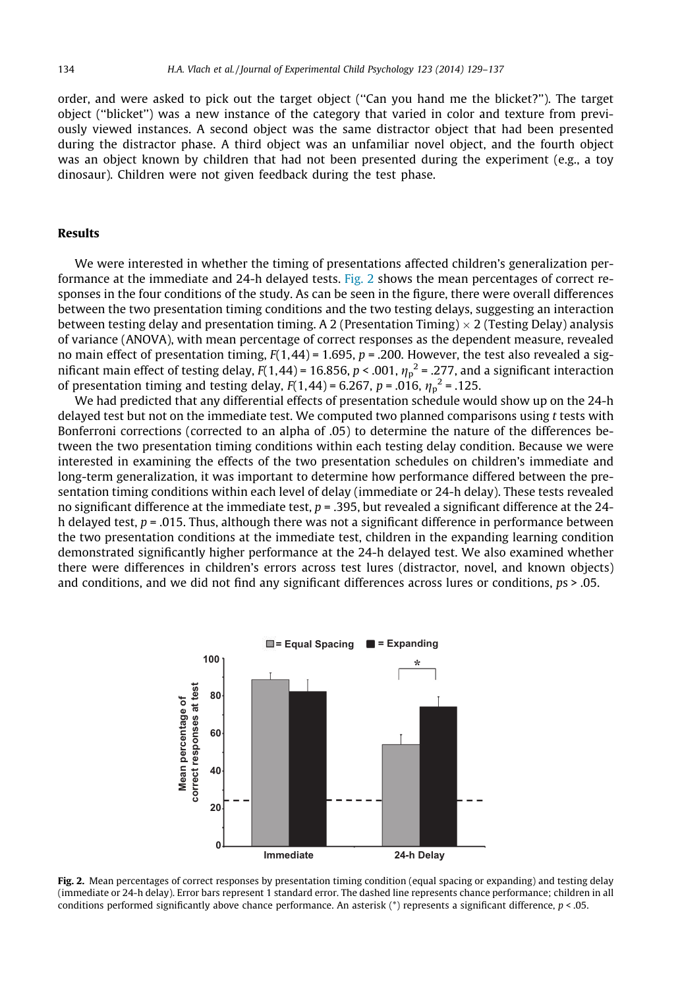order, and were asked to pick out the target object (''Can you hand me the blicket?''). The target object (''blicket'') was a new instance of the category that varied in color and texture from previously viewed instances. A second object was the same distractor object that had been presented during the distractor phase. A third object was an unfamiliar novel object, and the fourth object was an object known by children that had not been presented during the experiment (e.g., a toy dinosaur). Children were not given feedback during the test phase.

#### Results

We were interested in whether the timing of presentations affected children's generalization performance at the immediate and 24-h delayed tests. Fig. 2 shows the mean percentages of correct responses in the four conditions of the study. As can be seen in the figure, there were overall differences between the two presentation timing conditions and the two testing delays, suggesting an interaction between testing delay and presentation timing. A 2 (Presentation Timing)  $\times$  2 (Testing Delay) analysis of variance (ANOVA), with mean percentage of correct responses as the dependent measure, revealed no main effect of presentation timing,  $F(1,44) = 1.695$ ,  $p = 0.200$ . However, the test also revealed a significant main effect of testing delay, F(1,44) = 16.856, p < .001,  ${\eta_{\rm p}}^2$  = .277, and a significant interaction of presentation timing and testing delay,  $F(1,44)$  = 6.267, p = .016,  $\eta_p^2$  = .125.

We had predicted that any differential effects of presentation schedule would show up on the 24-h delayed test but not on the immediate test. We computed two planned comparisons using  $t$  tests with Bonferroni corrections (corrected to an alpha of .05) to determine the nature of the differences between the two presentation timing conditions within each testing delay condition. Because we were interested in examining the effects of the two presentation schedules on children's immediate and long-term generalization, it was important to determine how performance differed between the presentation timing conditions within each level of delay (immediate or 24-h delay). These tests revealed no significant difference at the immediate test,  $p = 0.395$ , but revealed a significant difference at the 24h delayed test,  $p = .015$ . Thus, although there was not a significant difference in performance between the two presentation conditions at the immediate test, children in the expanding learning condition demonstrated significantly higher performance at the 24-h delayed test. We also examined whether there were differences in children's errors across test lures (distractor, novel, and known objects) and conditions, and we did not find any significant differences across lures or conditions, ps > .05.



Fig. 2. Mean percentages of correct responses by presentation timing condition (equal spacing or expanding) and testing delay (immediate or 24-h delay). Error bars represent 1 standard error. The dashed line represents chance performance; children in all conditions performed significantly above chance performance. An asterisk (\*) represents a significant difference, p < .05.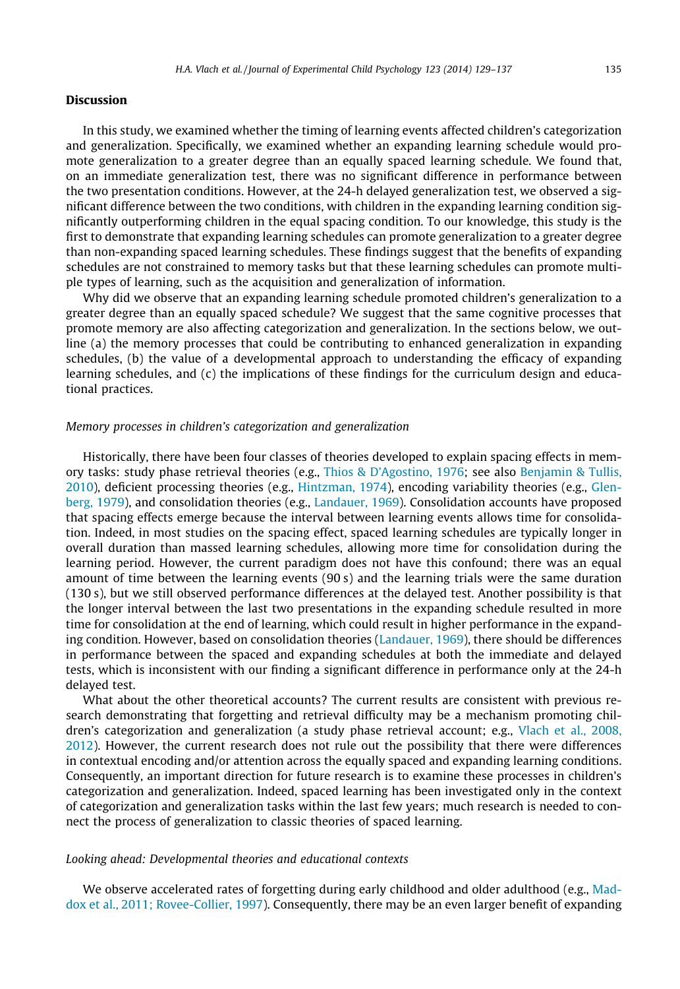#### Discussion

In this study, we examined whether the timing of learning events affected children's categorization and generalization. Specifically, we examined whether an expanding learning schedule would promote generalization to a greater degree than an equally spaced learning schedule. We found that, on an immediate generalization test, there was no significant difference in performance between the two presentation conditions. However, at the 24-h delayed generalization test, we observed a significant difference between the two conditions, with children in the expanding learning condition significantly outperforming children in the equal spacing condition. To our knowledge, this study is the first to demonstrate that expanding learning schedules can promote generalization to a greater degree than non-expanding spaced learning schedules. These findings suggest that the benefits of expanding schedules are not constrained to memory tasks but that these learning schedules can promote multiple types of learning, such as the acquisition and generalization of information.

Why did we observe that an expanding learning schedule promoted children's generalization to a greater degree than an equally spaced schedule? We suggest that the same cognitive processes that promote memory are also affecting categorization and generalization. In the sections below, we outline (a) the memory processes that could be contributing to enhanced generalization in expanding schedules, (b) the value of a developmental approach to understanding the efficacy of expanding learning schedules, and (c) the implications of these findings for the curriculum design and educational practices.

#### Memory processes in children's categorization and generalization

Historically, there have been four classes of theories developed to explain spacing effects in memory tasks: study phase retrieval theories (e.g., [Thios & D'Agostino, 1976](#page-8-0); see also [Benjamin & Tullis,](#page-7-0) [2010](#page-7-0)), deficient processing theories (e.g., [Hintzman, 1974](#page-7-0)), encoding variability theories (e.g., [Glen](#page-7-0)[berg, 1979\)](#page-7-0), and consolidation theories (e.g., [Landauer, 1969\)](#page-7-0). Consolidation accounts have proposed that spacing effects emerge because the interval between learning events allows time for consolidation. Indeed, in most studies on the spacing effect, spaced learning schedules are typically longer in overall duration than massed learning schedules, allowing more time for consolidation during the learning period. However, the current paradigm does not have this confound; there was an equal amount of time between the learning events (90 s) and the learning trials were the same duration (130 s), but we still observed performance differences at the delayed test. Another possibility is that the longer interval between the last two presentations in the expanding schedule resulted in more time for consolidation at the end of learning, which could result in higher performance in the expanding condition. However, based on consolidation theories [\(Landauer, 1969](#page-7-0)), there should be differences in performance between the spaced and expanding schedules at both the immediate and delayed tests, which is inconsistent with our finding a significant difference in performance only at the 24-h delayed test.

What about the other theoretical accounts? The current results are consistent with previous research demonstrating that forgetting and retrieval difficulty may be a mechanism promoting children's categorization and generalization (a study phase retrieval account; e.g., [Vlach et al., 2008,](#page-8-0) [2012](#page-8-0)). However, the current research does not rule out the possibility that there were differences in contextual encoding and/or attention across the equally spaced and expanding learning conditions. Consequently, an important direction for future research is to examine these processes in children's categorization and generalization. Indeed, spaced learning has been investigated only in the context of categorization and generalization tasks within the last few years; much research is needed to connect the process of generalization to classic theories of spaced learning.

#### Looking ahead: Developmental theories and educational contexts

We observe accelerated rates of forgetting during early childhood and older adulthood (e.g., [Mad](#page-8-0)[dox et al., 2011; Rovee-Collier, 1997](#page-8-0)). Consequently, there may be an even larger benefit of expanding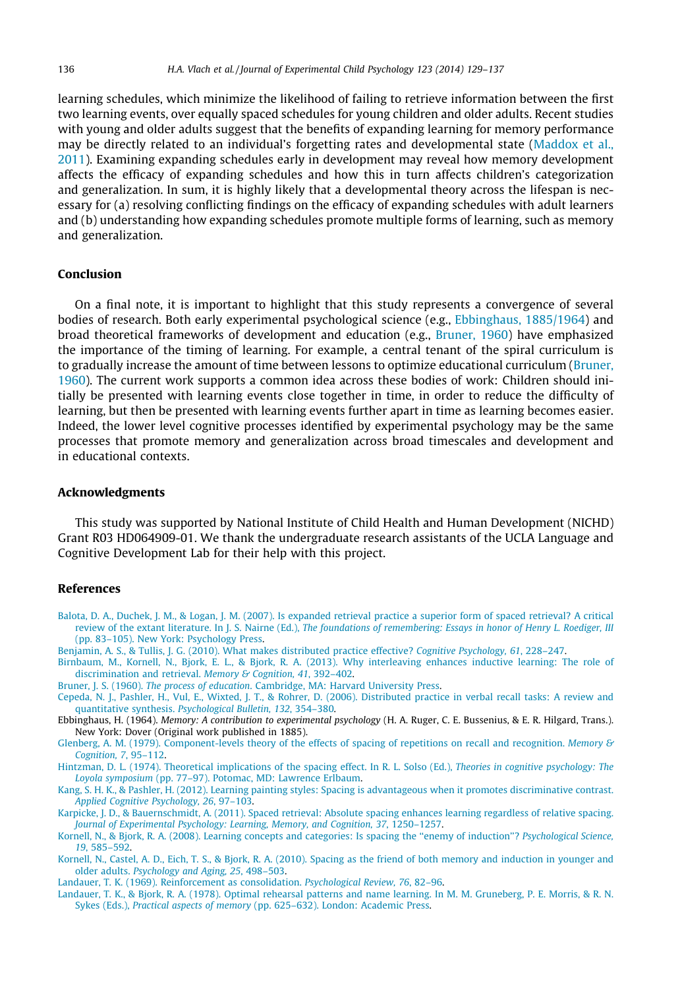<span id="page-7-0"></span>learning schedules, which minimize the likelihood of failing to retrieve information between the first two learning events, over equally spaced schedules for young children and older adults. Recent studies with young and older adults suggest that the benefits of expanding learning for memory performance may be directly related to an individual's forgetting rates and developmental state [\(Maddox et al.,](#page-8-0) [2011\)](#page-8-0). Examining expanding schedules early in development may reveal how memory development affects the efficacy of expanding schedules and how this in turn affects children's categorization and generalization. In sum, it is highly likely that a developmental theory across the lifespan is necessary for (a) resolving conflicting findings on the efficacy of expanding schedules with adult learners and (b) understanding how expanding schedules promote multiple forms of learning, such as memory and generalization.

#### Conclusion

On a final note, it is important to highlight that this study represents a convergence of several bodies of research. Both early experimental psychological science (e.g., Ebbinghaus, 1885/1964) and broad theoretical frameworks of development and education (e.g., Bruner, 1960) have emphasized the importance of the timing of learning. For example, a central tenant of the spiral curriculum is to gradually increase the amount of time between lessons to optimize educational curriculum (Bruner, 1960). The current work supports a common idea across these bodies of work: Children should initially be presented with learning events close together in time, in order to reduce the difficulty of learning, but then be presented with learning events further apart in time as learning becomes easier. Indeed, the lower level cognitive processes identified by experimental psychology may be the same processes that promote memory and generalization across broad timescales and development and in educational contexts.

#### Acknowledgments

This study was supported by National Institute of Child Health and Human Development (NICHD) Grant R03 HD064909-01. We thank the undergraduate research assistants of the UCLA Language and Cognitive Development Lab for their help with this project.

#### References

- [Balota, D. A., Duchek, J. M., & Logan, J. M. \(2007\). Is expanded retrieval practice a superior form of spaced retrieval? A critical](http://refhub.elsevier.com/S0022-0965(14)00011-3/h0120) review of the extant literature. In J. S. Nairne (Ed.), [The foundations of remembering: Essays in honor of Henry L. Roediger, III](http://refhub.elsevier.com/S0022-0965(14)00011-3/h0120) [\(pp. 83–105\). New York: Psychology Press.](http://refhub.elsevier.com/S0022-0965(14)00011-3/h0120)
- [Benjamin, A. S., & Tullis, J. G. \(2010\). What makes distributed practice effective?](http://refhub.elsevier.com/S0022-0965(14)00011-3/h0010) Cognitive Psychology, 61, 228–247.
- [Birnbaum, M., Kornell, N., Bjork, E. L., & Bjork, R. A. \(2013\). Why interleaving enhances inductive learning: The role of](http://refhub.elsevier.com/S0022-0965(14)00011-3/h0015) [discrimination and retrieval.](http://refhub.elsevier.com/S0022-0965(14)00011-3/h0015) Memory & Cognition, 41, 392-402.
- Bruner, J. S. (1960). The process of education[. Cambridge, MA: Harvard University Press.](http://refhub.elsevier.com/S0022-0965(14)00011-3/h0020)
- [Cepeda, N. J., Pashler, H., Vul, E., Wixted, J. T., & Rohrer, D. \(2006\). Distributed practice in verbal recall tasks: A review and](http://refhub.elsevier.com/S0022-0965(14)00011-3/h0025) quantitative synthesis. [Psychological Bulletin, 132](http://refhub.elsevier.com/S0022-0965(14)00011-3/h0025), 354–380.
- Ebbinghaus, H. (1964). Memory: A contribution to experimental psychology (H. A. Ruger, C. E. Bussenius, & E. R. Hilgard, Trans.). New York: Dover (Original work published in 1885).
- [Glenberg, A. M. \(1979\). Component-levels theory of the effects of spacing of repetitions on recall and recognition.](http://refhub.elsevier.com/S0022-0965(14)00011-3/h0035) Memory & [Cognition, 7](http://refhub.elsevier.com/S0022-0965(14)00011-3/h0035), 95–112.
- [Hintzman, D. L. \(1974\). Theoretical implications of the spacing effect. In R. L. Solso \(Ed.\),](http://refhub.elsevier.com/S0022-0965(14)00011-3/h0040) Theories in cognitive psychology: The Loyola symposium [\(pp. 77–97\). Potomac, MD: Lawrence Erlbaum](http://refhub.elsevier.com/S0022-0965(14)00011-3/h0040).
- [Kang, S. H. K., & Pashler, H. \(2012\). Learning painting styles: Spacing is advantageous when it promotes discriminative contrast.](http://refhub.elsevier.com/S0022-0965(14)00011-3/h0045) [Applied Cognitive Psychology, 26](http://refhub.elsevier.com/S0022-0965(14)00011-3/h0045), 97–103.
- [Karpicke, J. D., & Bauernschmidt, A. \(2011\). Spaced retrieval: Absolute spacing enhances learning regardless of relative spacing.](http://refhub.elsevier.com/S0022-0965(14)00011-3/h0050) [Journal of Experimental Psychology: Learning, Memory, and Cognition, 37](http://refhub.elsevier.com/S0022-0965(14)00011-3/h0050), 1250–1257.
- [Kornell, N., & Bjork, R. A. \(2008\). Learning concepts and categories: Is spacing the ''enemy of induction''?](http://refhub.elsevier.com/S0022-0965(14)00011-3/h0055) Psychological Science, 19[, 585–592](http://refhub.elsevier.com/S0022-0965(14)00011-3/h0055).
- [Kornell, N., Castel, A. D., Eich, T. S., & Bjork, R. A. \(2010\). Spacing as the friend of both memory and induction in younger and](http://refhub.elsevier.com/S0022-0965(14)00011-3/h0060) older adults. [Psychology and Aging, 25](http://refhub.elsevier.com/S0022-0965(14)00011-3/h0060), 498–503.
- [Landauer, T. K. \(1969\). Reinforcement as consolidation.](http://refhub.elsevier.com/S0022-0965(14)00011-3/h0065) Psychological Review, 76, 82–96.
- [Landauer, T. K., & Bjork, R. A. \(1978\). Optimal rehearsal patterns and name learning. In M. M. Gruneberg, P. E. Morris, & R. N.](http://refhub.elsevier.com/S0022-0965(14)00011-3/h0070) Sykes (Eds.), Practical aspects of memory [\(pp. 625–632\). London: Academic Press.](http://refhub.elsevier.com/S0022-0965(14)00011-3/h0070)